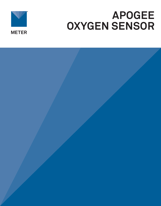



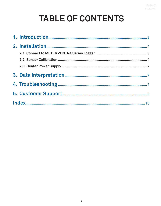# **TABLE OF CONTENTS**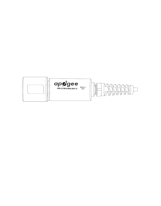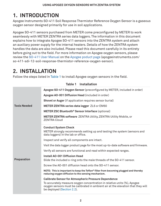## <span id="page-3-0"></span>**1. INTRODUCTION**

Apogee Instruments SO-411 Soil Response Thermistor Reference Oxygen Sensor is a gaseous oxygen sensor designed primarily for use in soil applications.

Apogee SO-411 sensors purchased from METER come preconfigured by METER to work seamlessly with METER ZENTRA series data loggers. The information in this document explains how to integrate Apogee SO-411 sensors into the ZENTRA system and attach an auxiliary power supply for the internal heaters. Details of how the ZENTRA system handles the data are also included. Please read this document carefully in its entirety before going out to the field. For more information on Apogee oxygen sensors, please review the [SO-411 User Manual](https://www.apogeeinstruments.com/content/SO-400-manual.pdf) on the [Apogee poduct page](http://apogeeinstruments.com/so-411-sdi-12-soil-response-thermistor-reference-oxygen-sensor) (apogeeinstruments.com/ so-411-sdi-12-soil-response-thermistor-reference-oxygen-sensor).

### **2. INSTALLATION**

Follow the steps listed in [Table 1](#page-3-1) to install Apogee oxygen sensors in the field.

|                     | Apogee S0-411 Oxygen Sensor (preconfigured by METER, included in order)                                                                                                                                                                                   |
|---------------------|-----------------------------------------------------------------------------------------------------------------------------------------------------------------------------------------------------------------------------------------------------------|
|                     | Apogee AO-001 Diffusion Head (included in order)                                                                                                                                                                                                          |
|                     | <b>Shovel or Auger</b> (if application requires sensor burial)                                                                                                                                                                                            |
| <b>Tools Needed</b> | METER ZENTRA series data logger ZL6 or EM60                                                                                                                                                                                                               |
|                     | METER ZSC Bluetooth <sup>®</sup> Sensor Interface (optional)                                                                                                                                                                                              |
|                     | <b>METER ZENTRA software</b> ZENTRA Utility, ZENTRA Utility Mobile, or<br><b>ZENTRA Cloud</b>                                                                                                                                                             |
|                     | <b>Conduct System Check</b>                                                                                                                                                                                                                               |
|                     | METER strongly recommends setting up and testing the system (sensors and<br>data loggers) in the lab or office.                                                                                                                                           |
|                     | Inspect and verify all components are intact.                                                                                                                                                                                                             |
|                     | Visit the data logger product page for the most up-to-date software and firmware.                                                                                                                                                                         |
|                     | Verify all sensors are functional and read within expected ranges.                                                                                                                                                                                        |
|                     | Install AO-001 Diffusion Head                                                                                                                                                                                                                             |
| Preparation         | Slide the included o-ring onto the male threads of the SO-411 sensor.                                                                                                                                                                                     |
|                     | Screw the AQ-001 diffusion head onto the SQ-411 sensor.                                                                                                                                                                                                   |
|                     | NOTE: This is important to keep the Teflon® filter from becoming plugged and thereby<br>reducing oxygen diffusion to the sensing mechanism.                                                                                                               |
|                     | <b>Calibrate Sensor for Atmospheric Pressure Dependence</b><br>To accurately measure oxygen concentration in relative units (%), Apogee<br>oxygen sensors must be calibrated in ambient air at the elevation that they will<br>be deployed (Section 2.2). |

### <span id="page-3-1"></span>**Table 1 Installation**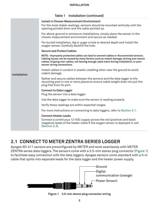| Table 1 | Installation (continued) |  |
|---------|--------------------------|--|
|---------|--------------------------|--|

<span id="page-4-0"></span>

|                     | <b>Install in Chosen Measurement Environment</b><br>For the most stable readings, sensors should be mounted vertically with the                                                                                                                                                                             |
|---------------------|-------------------------------------------------------------------------------------------------------------------------------------------------------------------------------------------------------------------------------------------------------------------------------------------------------------|
|                     | opening pointed down and the cable pointed up.                                                                                                                                                                                                                                                              |
|                     | For above-ground or enclosure installations, simply place the sensor in the<br>chosen measurement environment and secure as needed.                                                                                                                                                                         |
|                     | For buried installation, dig or auger a hole to desired depth and install the<br>oxygen sensor. Carefully backfill the hole.                                                                                                                                                                                |
|                     | <b>Secure and Protect Cables</b>                                                                                                                                                                                                                                                                            |
|                     | NOTE: Improperly protected cables can lead to severed cables or disconnected sensors.<br>Cabling issues can be caused by many factors such as rodent damage, driving over sensor<br>cables, tripping over cables, not leaving enough cable slack during installation, or poor<br>sensor wiring connections. |
| <b>Installation</b> | Install cables in conduit or plastic cladding when near the ground to avoid<br>rodent damage.                                                                                                                                                                                                               |
|                     | Gather and secure cables between the sensors and the data logger to the<br>mounting post in one or more places to ensure cable weight does not pull the<br>plug free from its port.                                                                                                                         |
|                     | <b>Connect to Data Logger</b><br>Plug the sensor into a data logger.                                                                                                                                                                                                                                        |
|                     | Use the data logger to make sure the sensor is reading properly.                                                                                                                                                                                                                                            |
|                     | Verify these readings are within expected ranges.                                                                                                                                                                                                                                                           |
|                     | For more instructions on connecting to data loggers, refer to Section 2.1.                                                                                                                                                                                                                                  |
|                     | <b>Connect Heater Leads</b><br>Connect a continuous 12-VDC supply across the red (positive) and black<br>(negative) leads of the heater cable if the oxygen sensor is deployed in soil<br>(Section 2.3).                                                                                                    |

### <span id="page-4-1"></span>**2.1 CONNECT TO METER ZENTRA SERIES LOGGER**

Apogee SO-411 sensors are preconfigured by METER and work seamlessly with METER ZENTRA series data loggers. The sensors come with a 3.5-mm stereo plug connector [\(Figure 1](#page-4-2)) to facilitate easy connection with the data loggers. Apogee sensors come standard with a 5-m cable that splits into separate leads for the data logger and the heater power supply.



<span id="page-4-2"></span>**Figure 1 3.5-mm stereo plug connector wiring**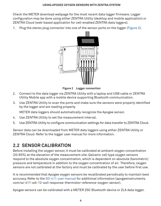<span id="page-5-0"></span>Check the METER download webpage for the most recent data logger firmware. Logger configuration may be done using either ZENTRA Utility (desktop and mobile application) or ZENTRA Cloud (web-based application for cell-enabled ZENTRA data loggers).

1. Plug the stereo plug connector into one of the sensor ports on the logger [\(Figure 2\)](#page-5-2).

<span id="page-5-2"></span>

**Figure 2 Logger connection**

- 2. Connect to the data logger via ZENTRA Utility with a laptop and USB cable or ZENTRA Utility Mobile app with a mobile device supporting Bluetooth communication.
- 3. Use ZENTRA Utility to scan the ports and make sure the sensors were properly identified by the logger and are reading properly.

METER data loggers should automatically recognize the Apogee sensor.

- 4. Use ZENTRA Utility to set the measurement interval.
- 5. Use ZENTRA Utility to configure communication settings for data transfer to ZENTRA Cloud.

Sensor data can be downloaded from METER data loggers using either ZENTRA Utility or ZENTRA Cloud. Refer to the logger user manual for more information.

### <span id="page-5-1"></span>**2.2 SENSOR CALIBRATION**

Before installing the oxygen sensor, it must be calibrated at ambient oxygen concentration (20.95%) at the elevation of the measurement site. Galvanic cell type oxygen sensors respond to the absolute oxygen concentration, which is dependent on absolute (barometric) pressure and temperature in addition to the oxygen concentration of air. Therefore, oxygen sensors are not calibrated at the factory and must be calibrated by the user before first use.

It is recommended that Apogee oxygen sensors be recalibrated periodically to maintain best accuracy. Refer to the [SO-411 user manual](https://www.apogeeinstruments.com/so-411-sdi-12-soil-response-thermistor-reference-oxygen-sensor/) for additional information (apogeeinstruments. com/so-411-sdi-12-soil-response-thermistor-reference-oxygen-sensor).

Apogee sensors can be calibrated with a METER ZSC Bluetooth device or ZL6 data logger.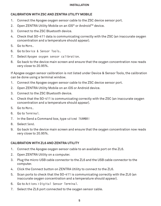#### **Installation**

### <span id="page-6-0"></span>**CALIBRATION WITH ZSC AND ZENTRA UTILITY MOBILE**

- 1. Connect the Apogee oxygen sensor cable to the ZSC device sensor port.
- 2. Open ZENTRA Utility Mobile on an iOS<sup>®</sup> or Android<sup>™</sup> device.
- 3. Connect to the ZSC Bluetooth device.
- 4. Check that SO-411 data is communicating correctly with the ZSC (an inaccurate oxygen concentration and a temperature should appear).
- 5. Go to More…
- 6. Go to Device & Sensor Tools.
- 7. Select Apogee oxygen sensor calibration.
- 8. Go back to the device main screen and ensure that the oxygen concentration now reads very close to 20.95%.

If Apogee oxygen sensor calibration is not listed under Device & Sensor Tools, the calibration can be done using a terminal window.

- 1. Connect the Apogee oxygen sensor cable to the ZSC device sensor port.
- 2. Open ZENTRA Utility Mobile on an iOS or Android device.
- 3. Connect to the ZSC Bluetooth device.
- 4. Check that the SO-411 is communicating correctly with the ZSC (an inaccurate oxygen concentration and a temperature should appear).
- 5. Go to More…
- 6. Go to Terminal.
- 7. In the Send a Command box, type sdicmd ?XAMBR!
- 8. Select Send.
- 9. Go back to the device main screen and ensure that the oxygen concentration now reads very close to 20.95%.

### **CALIBRATION WITH ZL6 AND ZENTRA UTILITY**

- 1. Connect the Apogee oxygen sensor cable to an available port on the ZL6.
- 2. Open ZENTRA Utility on a computer.
- 3. Plug the micro-USB cable connector to the ZL6 and the USB cable connector to the computer.
- 4. Click the Connect button on ZENTRA Utility to connect to the ZL6.
- 5. Scan ports to check that the SO-411 is communicating correctly with the ZL6 (an inaccurate oxygen concentration and a temperature should appear).
- 6. Go to Actions > Digital Sensor Terminal.
- 7. Select the ZL6 port connected to the oxygen sensor cable.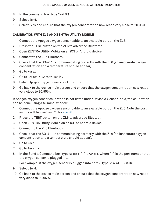#### **USING APOGEE OXYGEN SENSORS WITH ZENTRA SYSTEM**

- <span id="page-7-1"></span>8. In the command box, type ?XAMBR!
- 9. Select Send.
- 10. Select Scan and ensure that the oxygen concentration now reads very close to 20.95%.

### **CALIBRATION WITH ZL6 AND ZENTRA UTILITY MOBILE**

- 1. Connect the Apogee oxygen sensor cable to an available port on the ZL6.
- 2. Press the **TEST** button on the ZL6 to advertise Bluetooth.
- 3. Open ZENTRA Utility Mobile on an iOS or Android device.
- 4. Connect to the 716 Bluetooth.
- 5. Check that the SO-411 is communicating correctly with the ZL6 (an inaccurate oxygen concentration and a temperature should appear).
- 6. Go to More…
- 7. Go to Device & Sensor Tools.
- 8. Select Apogee oxygen sensor calibration.
- 9. Go back to the device main screen and ensure that the oxygen concentration now reads very close to 20.95%.

If Apogee oxygen sensor calibration is not listed under Device & Sensor Tools, the calibration can be done using a terminal window.

- 1. Connect the Apogee oxygen sensor cable to an available port on the ZL6. Note the port as this will be used as [Y] for [step 8.](#page-7-0)
- 2. Press the **TEST** button on the ZL6 to advertise Bluetooth.
- 3. Open ZENTRA Utility Mobile on an iOS or Android device.
- 4. Connect to the 716 Bluetooth.
- 5. Check that the SO-411 is communicating correctly with the ZL6 (an inaccurate oxygen concentration and a temperature should appear).
- 6. Go to More…
- 7. Go to Terminal.
- 8. In the Send a Command box, type sdicmd [Y] ?XAMBR!, where [Y] is the port number that the oxygen sensor is plugged into.

<span id="page-7-0"></span>For example, if the oxygen sensor is plugged into port 2, type sdicmd 2 ?XAMBR!

- 9. Select Send.
- 10. Go back to the device main screen and ensure that the oxygen concentration now reads very close to 20.95%.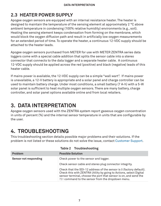### <span id="page-8-1"></span><span id="page-8-0"></span>**2.3 HEATER POWER SUPPLY**

Apogee oxygen sensors are equipped with an internal resistance heater. The heater is designed to maintain the temperature of the sensing element at approximately 2 °C above ambient temperature in condensing (100% relative humidity) environments (e.g., soil). Heating the sensing element keeps condensation from forming on the membrane, which would block the oxygen diffusion path and result in artificially low oxygen measurements for an extended period of time. To operate the heater, a continuous 12-VDC supply should be attached to the heater leads.

Apogee oxygen sensors purchased from METER for use with METER ZENTRA series data loggers come with a special cable addition that splits the sensor cable into a stereo connector that connects to the data logger and a separate heater cable. A continuous 12-VDC supply should be applied across the red (positive) and black (negative) leads of this heater cable.

If mains power is available, the 12-VDC supply can be a simple "wall wart". If mains power is unavailable, a 12-V battery is appropriate and a solar panel and charge controller can be used to maintain battery charge. Under most conditions, a small battery (7 A**·**h) with a 5-W solar panel is sufficient to heat multiple oxygen sensors. There are many battery, charge controller, and solar panel options available online and from local retailers.

# **3. DATA INTERPRETATION**

Apogee oxygen sensors used with the ZENTRA system report gaseous oxygen concentration in units of percent (%) and the internal sensor temperature in units that are configurable by the user.

# **4. TROUBLESHOOTING**

This troubleshooting section details possible major problems and their solutions. If the problem is not listed or these solutions do not solve the issue, contact [Customer Support](#page-9-1).

| <b>Problem</b>        | <b>Possible Solution</b>                                                                                                                                                                                                                                           |
|-----------------------|--------------------------------------------------------------------------------------------------------------------------------------------------------------------------------------------------------------------------------------------------------------------|
| Sensor not responding | Check power to the sensor and logger.                                                                                                                                                                                                                              |
|                       | Check sensor cable and stereo plug connector integrity.                                                                                                                                                                                                            |
|                       | Check that the SDI-12 address of the sensor is 0 (factory default).<br>Check this with ZENTRA Utility by going to Actions, select Digital<br>sensor terminal, choose the port that sensor is on, and send the<br>?I! command to the sensor from the dropdown menu. |

### **Table 2 Troubleshooting**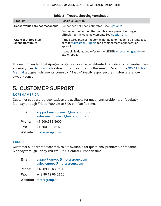#### **USING APOGEE OXYGEN SENSORS WITH ZENTRA SYSTEM**

<span id="page-9-0"></span>

| <b>Problem</b>                            | <b>Possible Solution</b>                                                                                                                   |
|-------------------------------------------|--------------------------------------------------------------------------------------------------------------------------------------------|
| Sensor values are not reasonable          | Sensor has not been calibrated. See Section 2.2.                                                                                           |
|                                           | Condensation on the filter membrane is preventing oxygen<br>diffusion to the sensing element. See Section 2.3.                             |
| Cable or stereo plug<br>connector failure | If the stereo plug connector is damaged or needs to be replaced,<br>contact Customer Support for a replacement connector or<br>splice kit. |
|                                           | If a cable is damaged refer to the METER wire-splicing guide for<br>cable repair.                                                          |

### **Table 2 Troubleshooting (continued)**

It is recommended that Apogee oxygen sensors be recalibrated periodically to maintain best accuracy. See [Section 2.2](#page-5-1) for directions on calibrating the sensor. Refer to the [SO-411 User](https://www.apogeeinstruments.com/so-411-sdi-12-soil-response-thermistor-reference-oxygen-sensor/)  [Manual](https://www.apogeeinstruments.com/so-411-sdi-12-soil-response-thermistor-reference-oxygen-sensor/) (apogeeinstruments.com/so-411-sdi-12-soil-response-thermistor-referenceoxygen-sensor)

### <span id="page-9-1"></span>**5. CUSTOMER SUPPORT**

### **NORTH AMERICA**

Customer support representatives are available for questions, problems, or feedback Monday through Friday, 7:00 am to 5:00 pm Pacific time.

| Email:        | support.environment@metergroup.com<br>sales.environment@metergroup.com |
|---------------|------------------------------------------------------------------------|
| <b>Phone:</b> | +1.509.332.5600                                                        |
| Fax:          | +1.509.332.5158                                                        |
|               | Website: metergroup.com                                                |

### **EUROPE**

Customer support representatives are available for questions, problems, or feedback Monday through Friday, 8:00 to 17:00 Central European time.

| Email: | support.europe@metergroup.com<br>sales.europe@metergroup.com |
|--------|--------------------------------------------------------------|
| Phone: | +49 89 12 66 52 0                                            |
| Fax:   | +49 89 12 66 52 20                                           |
|        | Website: metergroup.de                                       |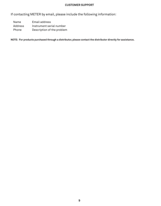#### **Customer Support**

<span id="page-10-0"></span>If contacting METER by email, please include the following information:

Name Address Phone Email address Instrument serial number Description of the problem

**NOTE: For products purchased through a distributor, please contact the distributor directly for assistance.**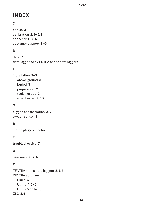**INDEX**

## <span id="page-11-0"></span>**INDEX**

### **C**

cables **[3](#page-4-0)** calibration **[2](#page-3-0)**, **[4](#page-5-0)[–6](#page-7-1)**, **[8](#page-9-0)** connecting **[3](#page-4-0)[–4](#page-5-0)** customer support **[8](#page-9-0)[–9](#page-10-0)**

### **D**

data **[7](#page-8-0)** data logger. See ZENTRA series data loggers

### **I**

installation **[2](#page-3-0)[–3](#page-4-0)** above-ground **[3](#page-4-0)** buried **[3](#page-4-0)** preparation **[2](#page-3-0)** tools needed **[2](#page-3-0)** internal heater **[2](#page-3-0)**, **[3](#page-4-0)**, **[7](#page-8-0)**

### **O**

oxygen concentration **[2](#page-3-0)**, **[4](#page-5-0)** oxygen sensor **[2](#page-3-0)**

### **S**

stereo plug connector **[3](#page-4-0)**

### **T**

troubleshooting **[7](#page-8-0)**

### **U**

user manual **[2](#page-3-0)**, **[4](#page-5-0)**

### **Z**

ZENTRA series data loggers **[2](#page-3-0)**, **[4](#page-5-0)**, **[7](#page-8-0)** ZENTRA software Cloud **[4](#page-5-0)** Utility **[4](#page-5-0)**, **[5–](#page-6-0)[6](#page-7-1)** Utility Mobile **[5](#page-6-0)**, **[6](#page-7-1)** ZSC **[2](#page-3-0)**, **[5](#page-6-0)**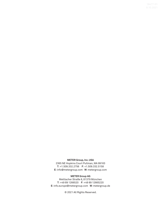#### **METER Group, Inc. USA**

2365 NE Hopkins Court Pullman, WA 99163 **T**: +1.509.332.2756 **F**: +1.509.332.5158 **E**: info@metergroup.com **W**: metergroup.com

#### **METER Group AG**

Mettlacher Straße 8, 81379 München **T**: +49 89 1266520 **F**: +49 89 12665220 **E**: info.europe@metergroup.com **W**: metergroup.de

© 2021 All Rights Reserved.